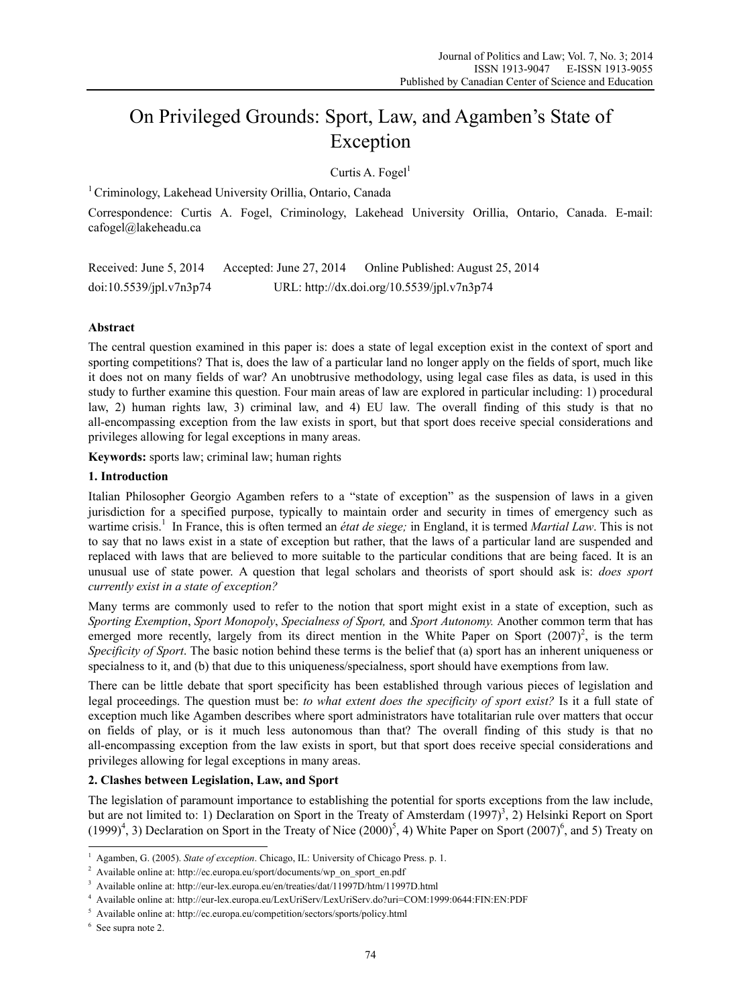# On Privileged Grounds: Sport, Law, and Agamben's State of Exception

Curtis A. Fogel $<sup>1</sup>$ </sup>

1 Criminology, Lakehead University Orillia, Ontario, Canada

Correspondence: Curtis A. Fogel, Criminology, Lakehead University Orillia, Ontario, Canada. E-mail: cafogel@lakeheadu.ca

Received: June 5, 2014 Accepted: June 27, 2014 Online Published: August 25, 2014 doi:10.5539/jpl.v7n3p74 URL: http://dx.doi.org/10.5539/jpl.v7n3p74

# **Abstract**

The central question examined in this paper is: does a state of legal exception exist in the context of sport and sporting competitions? That is, does the law of a particular land no longer apply on the fields of sport, much like it does not on many fields of war? An unobtrusive methodology, using legal case files as data, is used in this study to further examine this question. Four main areas of law are explored in particular including: 1) procedural law, 2) human rights law, 3) criminal law, and 4) EU law. The overall finding of this study is that no all-encompassing exception from the law exists in sport, but that sport does receive special considerations and privileges allowing for legal exceptions in many areas.

**Keywords:** sports law; criminal law; human rights

## **1. Introduction**

Italian Philosopher Georgio Agamben refers to a "state of exception" as the suspension of laws in a given jurisdiction for a specified purpose, typically to maintain order and security in times of emergency such as wartime crisis.<sup>1</sup> In France, this is often termed an *état de siege;* in England, it is termed *Martial Law*. This is not to say that no laws exist in a state of exception but rather, that the laws of a particular land are suspended and replaced with laws that are believed to more suitable to the particular conditions that are being faced. It is an unusual use of state power. A question that legal scholars and theorists of sport should ask is: *does sport currently exist in a state of exception?* 

Many terms are commonly used to refer to the notion that sport might exist in a state of exception, such as *Sporting Exemption*, *Sport Monopoly*, *Specialness of Sport,* and *Sport Autonomy.* Another common term that has emerged more recently, largely from its direct mention in the White Paper on Sport  $(2007)^2$ , is the term *Specificity of Sport*. The basic notion behind these terms is the belief that (a) sport has an inherent uniqueness or specialness to it, and (b) that due to this uniqueness/specialness, sport should have exemptions from law.

There can be little debate that sport specificity has been established through various pieces of legislation and legal proceedings. The question must be: *to what extent does the specificity of sport exist?* Is it a full state of exception much like Agamben describes where sport administrators have totalitarian rule over matters that occur on fields of play, or is it much less autonomous than that? The overall finding of this study is that no all-encompassing exception from the law exists in sport, but that sport does receive special considerations and privileges allowing for legal exceptions in many areas.

# **2. Clashes between Legislation, Law, and Sport**

The legislation of paramount importance to establishing the potential for sports exceptions from the law include, but are not limited to: 1) Declaration on Sport in the Treaty of Amsterdam  $(1997)^3$ , 2) Helsinki Report on Sport  $(1999)^4$ , 3) Declaration on Sport in the Treaty of Nice  $(2000)^5$ , 4) White Paper on Sport  $(2007)^6$ , and 5) Treaty on

<sup>&</sup>lt;sup>1</sup> Agamben, G. (2005). *State of exception*. Chicago, IL: University of Chicago Press. p. 1.<br><sup>2</sup> Available online at: http://ee.evrope.ov/sport/doeuments/wp. op. sport. op. pdf.

Available online at: http://ec.europa.eu/sport/documents/wp\_on\_sport\_en.pdf

<sup>3</sup> Available online at: http://eur-lex.europa.eu/en/treaties/dat/11997D/htm/11997D.html 4

Available online at: http://eur-lex.europa.eu/LexUriServ/LexUriServ.do?uri=COM:1999:0644:FIN:EN:PDF 5

Available online at: http://ec.europa.eu/competition/sectors/sports/policy.html 6

<sup>&</sup>lt;sup>6</sup> See supra note 2.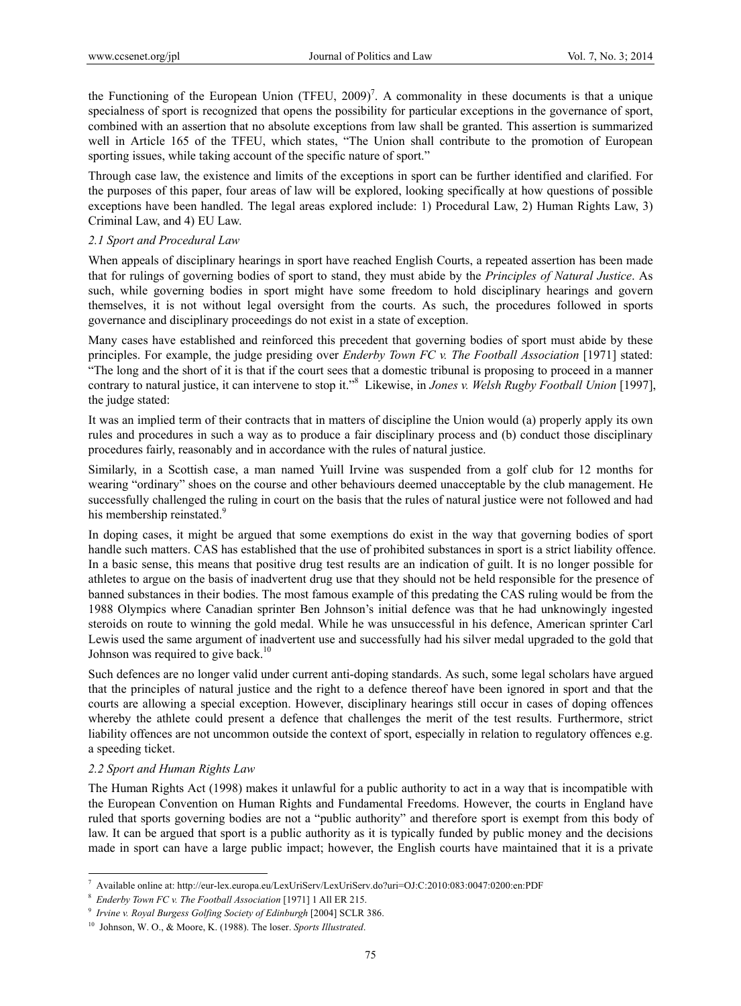the Functioning of the European Union (TFEU,  $2009$ )<sup>7</sup>. A commonality in these documents is that a unique specialness of sport is recognized that opens the possibility for particular exceptions in the governance of sport, combined with an assertion that no absolute exceptions from law shall be granted. This assertion is summarized well in Article 165 of the TFEU, which states, "The Union shall contribute to the promotion of European sporting issues, while taking account of the specific nature of sport."

Through case law, the existence and limits of the exceptions in sport can be further identified and clarified. For the purposes of this paper, four areas of law will be explored, looking specifically at how questions of possible exceptions have been handled. The legal areas explored include: 1) Procedural Law, 2) Human Rights Law, 3) Criminal Law, and 4) EU Law.

#### *2.1 Sport and Procedural Law*

When appeals of disciplinary hearings in sport have reached English Courts, a repeated assertion has been made that for rulings of governing bodies of sport to stand, they must abide by the *Principles of Natural Justice*. As such, while governing bodies in sport might have some freedom to hold disciplinary hearings and govern themselves, it is not without legal oversight from the courts. As such, the procedures followed in sports governance and disciplinary proceedings do not exist in a state of exception.

Many cases have established and reinforced this precedent that governing bodies of sport must abide by these principles. For example, the judge presiding over *Enderby Town FC v. The Football Association* [1971] stated: "The long and the short of it is that if the court sees that a domestic tribunal is proposing to proceed in a manner contrary to natural justice, it can intervene to stop it."8 Likewise, in *Jones v. Welsh Rugby Football Union* [1997], the judge stated:

It was an implied term of their contracts that in matters of discipline the Union would (a) properly apply its own rules and procedures in such a way as to produce a fair disciplinary process and (b) conduct those disciplinary procedures fairly, reasonably and in accordance with the rules of natural justice.

Similarly, in a Scottish case, a man named Yuill Irvine was suspended from a golf club for 12 months for wearing "ordinary" shoes on the course and other behaviours deemed unacceptable by the club management. He successfully challenged the ruling in court on the basis that the rules of natural justice were not followed and had his membership reinstated.<sup>9</sup>

In doping cases, it might be argued that some exemptions do exist in the way that governing bodies of sport handle such matters. CAS has established that the use of prohibited substances in sport is a strict liability offence. In a basic sense, this means that positive drug test results are an indication of guilt. It is no longer possible for athletes to argue on the basis of inadvertent drug use that they should not be held responsible for the presence of banned substances in their bodies. The most famous example of this predating the CAS ruling would be from the 1988 Olympics where Canadian sprinter Ben Johnson's initial defence was that he had unknowingly ingested steroids on route to winning the gold medal. While he was unsuccessful in his defence, American sprinter Carl Lewis used the same argument of inadvertent use and successfully had his silver medal upgraded to the gold that Johnson was required to give back.<sup>10</sup>

Such defences are no longer valid under current anti-doping standards. As such, some legal scholars have argued that the principles of natural justice and the right to a defence thereof have been ignored in sport and that the courts are allowing a special exception. However, disciplinary hearings still occur in cases of doping offences whereby the athlete could present a defence that challenges the merit of the test results. Furthermore, strict liability offences are not uncommon outside the context of sport, especially in relation to regulatory offences e.g. a speeding ticket.

#### *2.2 Sport and Human Rights Law*

The Human Rights Act (1998) makes it unlawful for a public authority to act in a way that is incompatible with the European Convention on Human Rights and Fundamental Freedoms. However, the courts in England have ruled that sports governing bodies are not a "public authority" and therefore sport is exempt from this body of law. It can be argued that sport is a public authority as it is typically funded by public money and the decisions made in sport can have a large public impact; however, the English courts have maintained that it is a private

 $\overline{a}$ <sup>7</sup> Available online at: http://eur-lex.europa.eu/LexUriServ/LexUriServ.do?uri=OJ:C:2010:083:0047:0200:en:PDF<br><sup>8</sup> *Enderby Town FC v. The Football Association* [1971] 1 All ER 215.<br><sup>9</sup> *Irvine v. Royal Burgess Golfing Soc*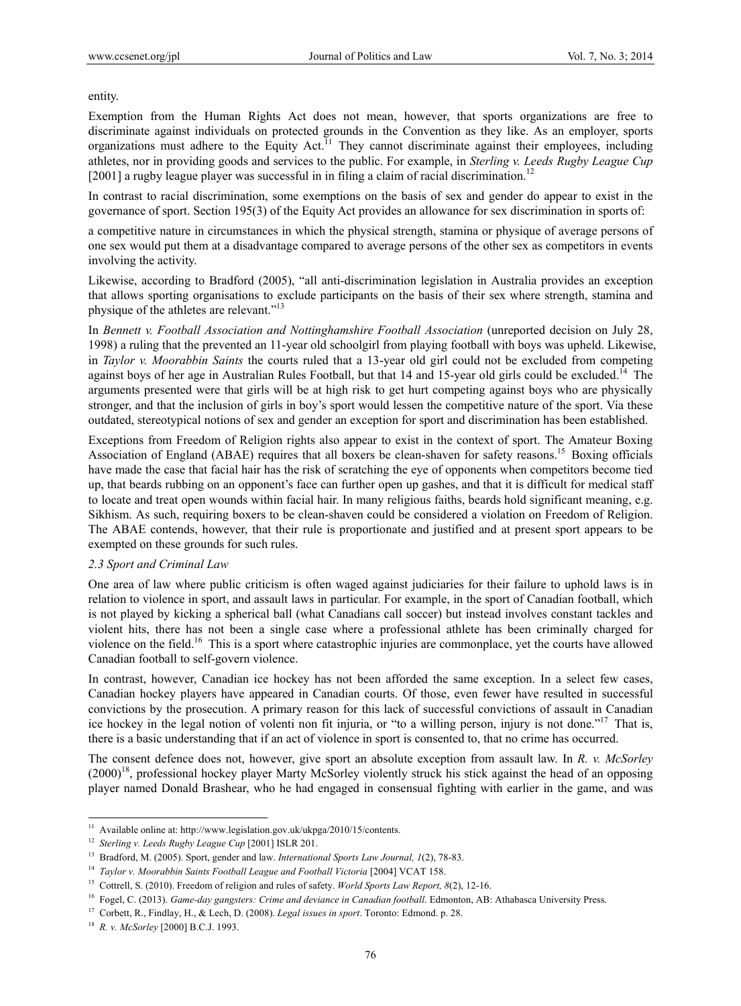entity.

Exemption from the Human Rights Act does not mean, however, that sports organizations are free to discriminate against individuals on protected grounds in the Convention as they like. As an employer, sports organizations must adhere to the Equity Act.<sup>11</sup> They cannot discriminate against their employees, including athletes, nor in providing goods and services to the public. For example, in *Sterling v. Leeds Rugby League Cup* [2001] a rugby league player was successful in in filing a claim of racial discrimination.<sup>12</sup>

In contrast to racial discrimination, some exemptions on the basis of sex and gender do appear to exist in the governance of sport. Section 195(3) of the Equity Act provides an allowance for sex discrimination in sports of:

a competitive nature in circumstances in which the physical strength, stamina or physique of average persons of one sex would put them at a disadvantage compared to average persons of the other sex as competitors in events involving the activity.

Likewise, according to Bradford (2005), "all anti-discrimination legislation in Australia provides an exception that allows sporting organisations to exclude participants on the basis of their sex where strength, stamina and physique of the athletes are relevant."13

In *Bennett v. Football Association and Nottinghamshire Football Association* (unreported decision on July 28, 1998) a ruling that the prevented an 11-year old schoolgirl from playing football with boys was upheld. Likewise, in *Taylor v. Moorabbin Saints* the courts ruled that a 13-year old girl could not be excluded from competing against boys of her age in Australian Rules Football, but that 14 and 15-year old girls could be excluded.<sup>14</sup> The arguments presented were that girls will be at high risk to get hurt competing against boys who are physically stronger, and that the inclusion of girls in boy's sport would lessen the competitive nature of the sport. Via these outdated, stereotypical notions of sex and gender an exception for sport and discrimination has been established.

Exceptions from Freedom of Religion rights also appear to exist in the context of sport. The Amateur Boxing Association of England (ABAE) requires that all boxers be clean-shaven for safety reasons.<sup>15</sup> Boxing officials have made the case that facial hair has the risk of scratching the eye of opponents when competitors become tied up, that beards rubbing on an opponent's face can further open up gashes, and that it is difficult for medical staff to locate and treat open wounds within facial hair. In many religious faiths, beards hold significant meaning, e.g. Sikhism. As such, requiring boxers to be clean-shaven could be considered a violation on Freedom of Religion. The ABAE contends, however, that their rule is proportionate and justified and at present sport appears to be exempted on these grounds for such rules.

#### *2.3 Sport and Criminal Law*

One area of law where public criticism is often waged against judiciaries for their failure to uphold laws is in relation to violence in sport, and assault laws in particular. For example, in the sport of Canadian football, which is not played by kicking a spherical ball (what Canadians call soccer) but instead involves constant tackles and violent hits, there has not been a single case where a professional athlete has been criminally charged for violence on the field.<sup>16</sup> This is a sport where catastrophic injuries are commonplace, yet the courts have allowed Canadian football to self-govern violence.

In contrast, however, Canadian ice hockey has not been afforded the same exception. In a select few cases, Canadian hockey players have appeared in Canadian courts. Of those, even fewer have resulted in successful convictions by the prosecution. A primary reason for this lack of successful convictions of assault in Canadian ice hockey in the legal notion of volenti non fit injuria, or "to a willing person, injury is not done."<sup>17</sup> That is, there is a basic understanding that if an act of violence in sport is consented to, that no crime has occurred.

The consent defence does not, however, give sport an absolute exception from assault law. In *R. v. McSorley* (2000)18, professional hockey player Marty McSorley violently struck his stick against the head of an opposing player named Donald Brashear, who he had engaged in consensual fighting with earlier in the game, and was

<sup>&</sup>lt;sup>11</sup> Available online at: http://www.legislation.gov.uk/ukpga/2010/15/contents.

<sup>&</sup>lt;sup>12</sup> Sterling v. Leeds Rugby League Cup [2001] ISLR 201.<br><sup>13</sup> Bradford, M. (2005). Sport, gender and law. *International Sports Law Journal*, *I*(2), 78-83.<br><sup>14</sup> *Taylor v. Moorabbin Saints Football League and Football Vi*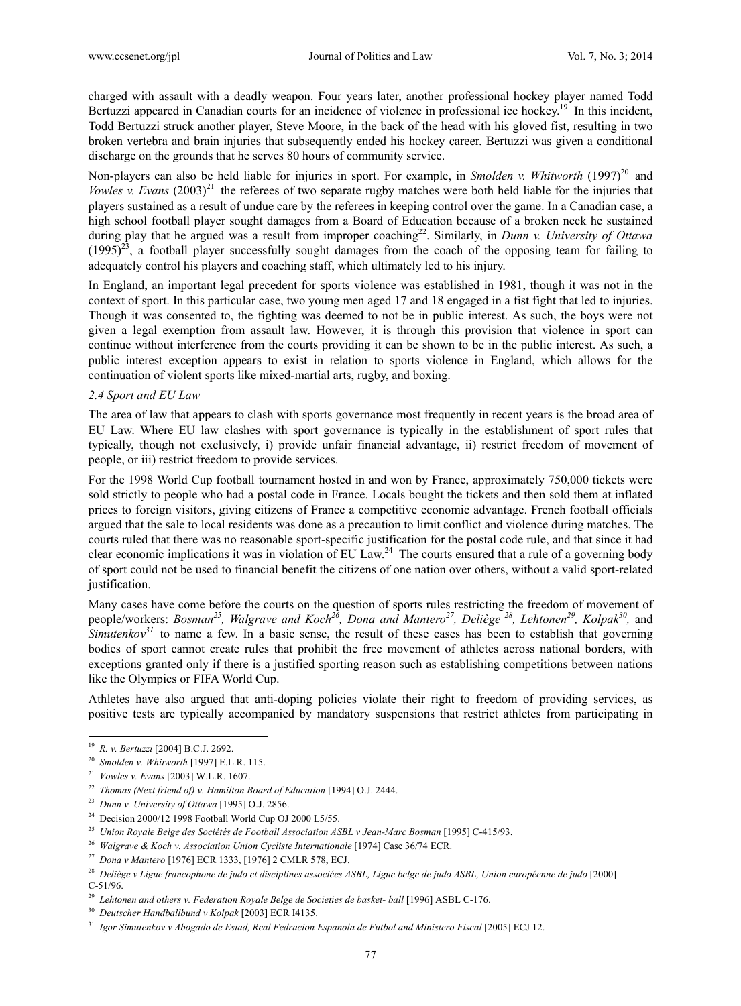charged with assault with a deadly weapon. Four years later, another professional hockey player named Todd Bertuzzi appeared in Canadian courts for an incidence of violence in professional ice hockey.<sup>19</sup> In this incident, Todd Bertuzzi struck another player, Steve Moore, in the back of the head with his gloved fist, resulting in two broken vertebra and brain injuries that subsequently ended his hockey career. Bertuzzi was given a conditional discharge on the grounds that he serves 80 hours of community service.

Non-players can also be held liable for injuries in sport. For example, in *Smolden v. Whitworth* (1997)<sup>20</sup> and *Vowles v. Evans*  $(2003)^{21}$  the referees of two separate rugby matches were both held liable for the injuries that players sustained as a result of undue care by the referees in keeping control over the game. In a Canadian case, a high school football player sought damages from a Board of Education because of a broken neck he sustained during play that he argued was a result from improper coaching<sup>22</sup>. Similarly, in *Dunn v. University of Ottawa*  $(1995)^{23}$ , a football player successfully sought damages from the coach of the opposing team for failing to adequately control his players and coaching staff, which ultimately led to his injury.

In England, an important legal precedent for sports violence was established in 1981, though it was not in the context of sport. In this particular case, two young men aged 17 and 18 engaged in a fist fight that led to injuries. Though it was consented to, the fighting was deemed to not be in public interest. As such, the boys were not given a legal exemption from assault law. However, it is through this provision that violence in sport can continue without interference from the courts providing it can be shown to be in the public interest. As such, a public interest exception appears to exist in relation to sports violence in England, which allows for the continuation of violent sports like mixed-martial arts, rugby, and boxing.

#### *2.4 Sport and EU Law*

The area of law that appears to clash with sports governance most frequently in recent years is the broad area of EU Law. Where EU law clashes with sport governance is typically in the establishment of sport rules that typically, though not exclusively, i) provide unfair financial advantage, ii) restrict freedom of movement of people, or iii) restrict freedom to provide services.

For the 1998 World Cup football tournament hosted in and won by France, approximately 750,000 tickets were sold strictly to people who had a postal code in France. Locals bought the tickets and then sold them at inflated prices to foreign visitors, giving citizens of France a competitive economic advantage. French football officials argued that the sale to local residents was done as a precaution to limit conflict and violence during matches. The courts ruled that there was no reasonable sport-specific justification for the postal code rule, and that since it had clear economic implications it was in violation of EU Law.<sup>24</sup> The courts ensured that a rule of a governing body of sport could not be used to financial benefit the citizens of one nation over others, without a valid sport-related justification.

Many cases have come before the courts on the question of sports rules restricting the freedom of movement of people/workers: *Bosman<sup>25</sup>, Walgrave and Koch<sup>26</sup>, Dona and Mantero<sup>27</sup>, Deliège<sup>28</sup>, Lehtonen<sup>29</sup>, Kolpak<sup>30</sup>, and Simutenkov*<sup>31</sup> to name a few. In a basic sense, the result of these cases has been to establish that governing bodies of sport cannot create rules that prohibit the free movement of athletes across national borders, with exceptions granted only if there is a justified sporting reason such as establishing competitions between nations like the Olympics or FIFA World Cup.

Athletes have also argued that anti-doping policies violate their right to freedom of providing services, as positive tests are typically accompanied by mandatory suspensions that restrict athletes from participating in

<sup>&</sup>lt;sup>19</sup> R. v. Bertuzzi [2004] B.C.J. 2692.

<sup>&</sup>lt;sup>19</sup> R. v. Bertuzzi [2004] B.C.J. 2692.<br><sup>20</sup> Smolden v. Whitworth [1997] E.L.R. 115.<br><sup>21</sup> Vowles v. Evans [2003] W.L.R. 1607.<br><sup>22</sup> Thomas (Next friend of) v. Hamilton Board of Education [1994] O.J. 2444.<br><sup>23</sup> Dunn v. Univ C-51/96.

<sup>&</sup>lt;sup>29</sup> Lehtonen and others v. Federation Royale Belge de Societies de basket- ball [1996] ASBL C-176.<br><sup>30</sup> Deutscher Handballbund v Kolpak [2003] ECR 14135.<br><sup>31</sup> Igor Simutenkov v Abogado de Estad, Real Fedracion Espanola d